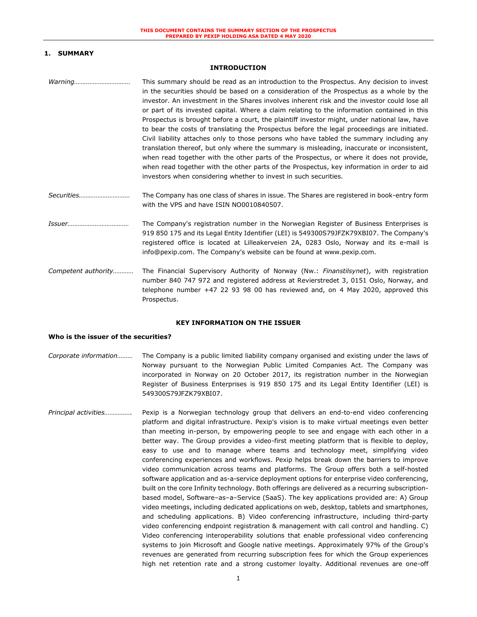# **1. SUMMARY**

### **INTRODUCTION**

- *Warning……………………………* This summary should be read as an introduction to the Prospectus. Any decision to invest in the securities should be based on a consideration of the Prospectus as a whole by the investor. An investment in the Shares involves inherent risk and the investor could lose all or part of its invested capital. Where a claim relating to the information contained in this Prospectus is brought before a court, the plaintiff investor might, under national law, have to bear the costs of translating the Prospectus before the legal proceedings are initiated. Civil liability attaches only to those persons who have tabled the summary including any translation thereof, but only where the summary is misleading, inaccurate or inconsistent, when read together with the other parts of the Prospectus, or where it does not provide, when read together with the other parts of the Prospectus, key information in order to aid investors when considering whether to invest in such securities.
- *Securities…………………………* The Company has one class of shares in issue. The Shares are registered in book-entry form with the VPS and have ISIN NO0010840507.
- *Issuer………………………………* The Company's registration number in the Norwegian Register of Business Enterprises is 919 850 175 and its Legal Entity Identifier (LEI) is 549300S79JFZK79XBI07. The Company's registered office is located at Lilleakerveien 2A, 0283 Oslo, Norway and its e-mail is info@pexip.com. The Company's website can be found at www.pexip.com.
- *Competent authority…………* The Financial Supervisory Authority of Norway (Nw.: *Finanstilsynet*), with registration number 840 747 972 and registered address at Revierstredet 3, 0151 Oslo, Norway, and telephone number +47 22 93 98 00 has reviewed and, on 4 May 2020, approved this Prospectus.

### **KEY INFORMATION ON THE ISSUER**

#### **Who is the issuer of the securities?**

- *Corporate information………* The Company is a public limited liability company organised and existing under the laws of Norway pursuant to the Norwegian Public Limited Companies Act. The Company was incorporated in Norway on 20 October 2017, its registration number in the Norwegian Register of Business Enterprises is 919 850 175 and its Legal Entity Identifier (LEI) is 549300S79JFZK79XBI07.
- *Principal activities…………….* Pexip is a Norwegian technology group that delivers an end-to-end video conferencing platform and digital infrastructure. Pexip's vision is to make virtual meetings even better than meeting in-person, by empowering people to see and engage with each other in a better way. The Group provides a video-first meeting platform that is flexible to deploy, easy to use and to manage where teams and technology meet, simplifying video conferencing experiences and workflows. Pexip helps break down the barriers to improve video communication across teams and platforms. The Group offers both a self-hosted software application and as-a-service deployment options for enterprise video conferencing, built on the core Infinity technology. Both offerings are delivered as a recurring subscriptionbased model, Software–as–a–Service (SaaS). The key applications provided are: A) Group video meetings, including dedicated applications on web, desktop, tablets and smartphones, and scheduling applications. B) Video conferencing infrastructure, including third-party video conferencing endpoint registration & management with call control and handling. C) Video conferencing interoperability solutions that enable professional video conferencing systems to join Microsoft and Google native meetings. Approximately 97% of the Group's revenues are generated from recurring subscription fees for which the Group experiences high net retention rate and a strong customer loyalty. Additional revenues are one-off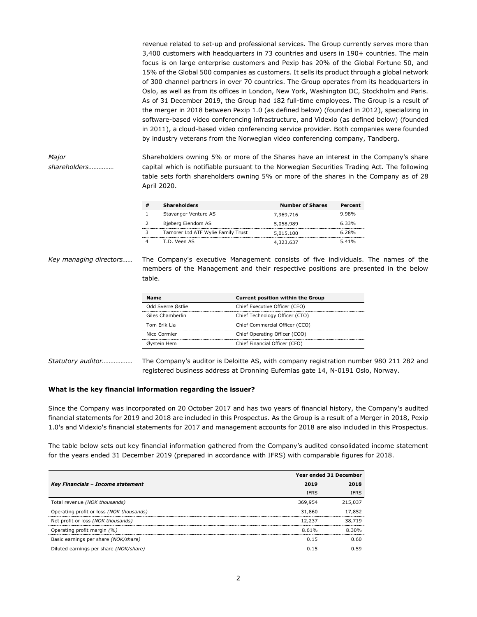revenue related to set-up and professional services. The Group currently serves more than 3,400 customers with headquarters in 73 countries and users in 190+ countries. The main focus is on large enterprise customers and Pexip has 20% of the Global Fortune 50, and 15% of the Global 500 companies as customers. It sells its product through a global network of 300 channel partners in over 70 countries. The Group operates from its headquarters in Oslo, as well as from its offices in London, New York, Washington DC, Stockholm and Paris. As of 31 December 2019, the Group had 182 full-time employees. The Group is a result of the merger in 2018 between Pexip 1.0 (as defined below) (founded in 2012), specializing in software-based video conferencing infrastructure, and Videxio (as defined below) (founded in 2011), a cloud-based video conferencing service provider. Both companies were founded by industry veterans from the Norwegian video conferencing company, Tandberg.

*Major shareholders……………* Shareholders owning 5% or more of the Shares have an interest in the Company's share capital which is notifiable pursuant to the Norwegian Securities Trading Act. The following table sets forth shareholders owning 5% or more of the shares in the Company as of 28 April 2020.

| <b>Shareholders</b>                | <b>Number of Shares</b> | Percent |
|------------------------------------|-------------------------|---------|
| Stavanger Venture AS               | 7,969,716               | 9.98%   |
| Bjøberg Eiendom AS                 | 5,058,989               | 6.33%   |
| Tamorer Ltd ATF Wylie Family Trust | 5,015,100               | 6.28%   |
| T.D. Veen AS                       | 4,323,637               | 5.41%   |

*Key managing directors……* The Company's executive Management consists of five individuals. The names of the members of the Management and their respective positions are presented in the below table.

| Name              | <b>Current position within the Group</b> |
|-------------------|------------------------------------------|
| Odd Sverre Østlie | Chief Executive Officer (CEO)            |
| Giles Chamberlin  | Chief Technology Officer (CTO)           |
| Tom Erik Lia      | Chief Commercial Officer (CCO)           |
| Nico Cormier      | Chief Operating Officer (COO)            |
| Øvstein Hem       | Chief Financial Officer (CFO)            |

*Statutory auditor………………* The Company's auditor is Deloitte AS, with company registration number 980 211 282 and registered business address at Dronning Eufemias gate 14, N-0191 Oslo, Norway.

## **What is the key financial information regarding the issuer?**

Since the Company was incorporated on 20 October 2017 and has two years of financial history, the Company's audited financial statements for 2019 and 2018 are included in this Prospectus. As the Group is a result of a Merger in 2018, Pexip 1.0's and Videxio's financial statements for 2017 and management accounts for 2018 are also included in this Prospectus.

The table below sets out key financial information gathered from the Company's audited consolidated income statement for the years ended 31 December 2019 (prepared in accordance with IFRS) with comparable figures for 2018.

|                                          | Year ended 31 December |             |
|------------------------------------------|------------------------|-------------|
| Key Financials - Income statement        | 2019                   | 2018        |
|                                          | <b>IFRS</b>            | <b>TFRS</b> |
| Total revenue (NOK thousands)            | 369,954                | 215.037     |
| Operating profit or loss (NOK thousands) | 31,860                 | 17,852      |
| Net profit or loss (NOK thousands)       | 12,237                 | 38,719      |
| Operating profit margin (%)              | 8.61%                  | 830%        |
| Basic earnings per share (NOK/share)     | n 15                   | በ 6በ        |
| Diluted earnings per share (NOK/share)   |                        |             |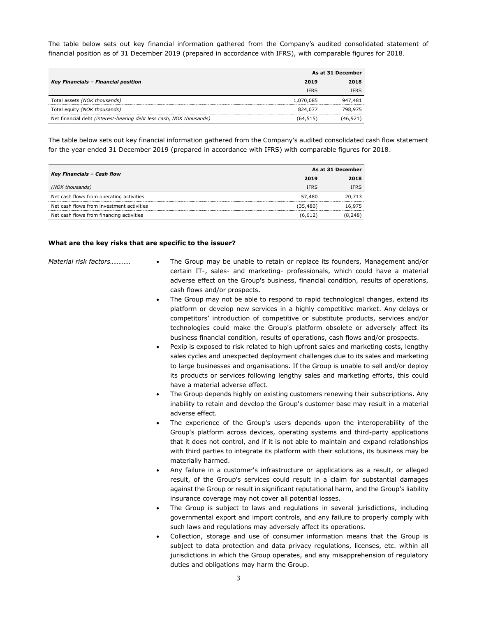The table below sets out key financial information gathered from the Company's audited consolidated statement of financial position as of 31 December 2019 (prepared in accordance with IFRS), with comparable figures for 2018.

|                                                                     | As at 31 December |             |
|---------------------------------------------------------------------|-------------------|-------------|
| Key Financials - Financial position                                 | 2019              | 2018        |
|                                                                     | <b>IFRS</b>       | <b>IFRS</b> |
| Total assets (NOK thousands)                                        | 1,070,085         | 947,481     |
| Total equity (NOK thousands)                                        | 824.077           | 798,975     |
| Net financial debt (interest-bearing debt less cash, NOK thousands) | (64,515)          | (46.921.    |

The table below sets out key financial information gathered from the Company's audited consolidated cash flow statement for the year ended 31 December 2019 (prepared in accordance with IFRS) with comparable figures for 2018.

|                                           | As at 31 December |             |
|-------------------------------------------|-------------------|-------------|
| Key Financials - Cash flow                | 2019              | 2018        |
| (NOK thousands)                           | <b>IFRS</b>       | <b>IFRS</b> |
| Net cash flows from operating activities  | 57,480            | 20,713      |
| Net cash flows from investment activities | (35, 480)         | 16,975      |
| Net cash flows from financing activities  | (6.612)           | 8.248       |

### **What are the key risks that are specific to the issuer?**

- *Material risk factors…………* The Group may be unable to retain or replace its founders, Management and/or certain IT-, sales- and marketing- professionals, which could have a material adverse effect on the Group's business, financial condition, results of operations, cash flows and/or prospects.
	- The Group may not be able to respond to rapid technological changes, extend its platform or develop new services in a highly competitive market. Any delays or competitors' introduction of competitive or substitute products, services and/or technologies could make the Group's platform obsolete or adversely affect its business financial condition, results of operations, cash flows and/or prospects.
	- Pexip is exposed to risk related to high upfront sales and marketing costs, lengthy sales cycles and unexpected deployment challenges due to its sales and marketing to large businesses and organisations. If the Group is unable to sell and/or deploy its products or services following lengthy sales and marketing efforts, this could have a material adverse effect.
	- The Group depends highly on existing customers renewing their subscriptions. Any inability to retain and develop the Group's customer base may result in a material adverse effect.
	- The experience of the Group's users depends upon the interoperability of the Group's platform across devices, operating systems and third-party applications that it does not control, and if it is not able to maintain and expand relationships with third parties to integrate its platform with their solutions, its business may be materially harmed.
	- Any failure in a customer's infrastructure or applications as a result, or alleged result, of the Group's services could result in a claim for substantial damages against the Group or result in significant reputational harm, and the Group's liability insurance coverage may not cover all potential losses.
	- The Group is subject to laws and regulations in several jurisdictions, including governmental export and import controls, and any failure to properly comply with such laws and regulations may adversely affect its operations.
	- Collection, storage and use of consumer information means that the Group is subject to data protection and data privacy regulations, licenses, etc. within all jurisdictions in which the Group operates, and any misapprehension of regulatory duties and obligations may harm the Group.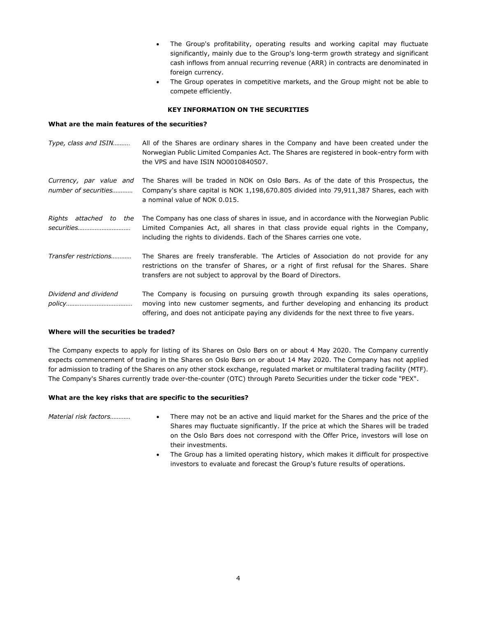- The Group's profitability, operating results and working capital may fluctuate significantly, mainly due to the Group's long-term growth strategy and significant cash inflows from annual recurring revenue (ARR) in contracts are denominated in foreign currency.
- The Group operates in competitive markets, and the Group might not be able to compete efficiently.

## **KEY INFORMATION ON THE SECURITIES**

## **What are the main features of the securities?**

| Type, class and ISIN                            | All of the Shares are ordinary shares in the Company and have been created under the<br>Norwegian Public Limited Companies Act. The Shares are registered in book-entry form with<br>the VPS and have ISIN NO0010840507.                                              |
|-------------------------------------------------|-----------------------------------------------------------------------------------------------------------------------------------------------------------------------------------------------------------------------------------------------------------------------|
| Currency, par value and<br>number of securities | The Shares will be traded in NOK on Oslo Børs. As of the date of this Prospectus, the<br>Company's share capital is NOK 1,198,670.805 divided into 79,911,387 Shares, each with<br>a nominal value of NOK 0.015.                                                      |
| Rights attached to the<br><i>securities</i>     | The Company has one class of shares in issue, and in accordance with the Norwegian Public<br>Limited Companies Act, all shares in that class provide equal rights in the Company,<br>including the rights to dividends. Each of the Shares carries one vote.          |
| Transfer restrictions                           | The Shares are freely transferable. The Articles of Association do not provide for any<br>restrictions on the transfer of Shares, or a right of first refusal for the Shares. Share<br>transfers are not subject to approval by the Board of Directors.               |
| Dividend and dividend                           | The Company is focusing on pursuing growth through expanding its sales operations,<br>moving into new customer segments, and further developing and enhancing its product<br>offering, and does not anticipate paying any dividends for the next three to five years. |

## **Where will the securities be traded?**

The Company expects to apply for listing of its Shares on Oslo Børs on or about 4 May 2020. The Company currently expects commencement of trading in the Shares on Oslo Børs on or about 14 May 2020. The Company has not applied for admission to trading of the Shares on any other stock exchange, regulated market or multilateral trading facility (MTF). The Company's Shares currently trade over-the-counter (OTC) through Pareto Securities under the ticker code "PEX".

## **What are the key risks that are specific to the securities?**

- *Material risk factors…………* There may not be an active and liquid market for the Shares and the price of the Shares may fluctuate significantly. If the price at which the Shares will be traded on the Oslo Børs does not correspond with the Offer Price, investors will lose on their investments.
	- The Group has a limited operating history, which makes it difficult for prospective investors to evaluate and forecast the Group's future results of operations.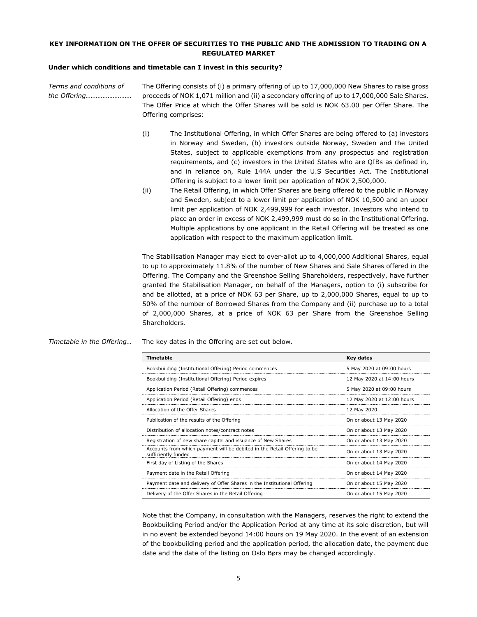## **KEY INFORMATION ON THE OFFER OF SECURITIES TO THE PUBLIC AND THE ADMISSION TO TRADING ON A REGULATED MARKET**

## **Under which conditions and timetable can I invest in this security?**

*Terms and conditions of the Offering………………………* The Offering consists of (i) a primary offering of up to 17,000,000 New Shares to raise gross proceeds of NOK 1,071 million and (ii) a secondary offering of up to 17,000,000 Sale Shares. The Offer Price at which the Offer Shares will be sold is NOK 63.00 per Offer Share. The Offering comprises:

- (i) The Institutional Offering, in which Offer Shares are being offered to (a) investors in Norway and Sweden, (b) investors outside Norway, Sweden and the United States, subject to applicable exemptions from any prospectus and registration requirements, and (c) investors in the United States who are QIBs as defined in, and in reliance on, Rule 144A under the U.S Securities Act. The Institutional Offering is subject to a lower limit per application of NOK 2,500,000.
- (ii) The Retail Offering, in which Offer Shares are being offered to the public in Norway and Sweden, subject to a lower limit per application of NOK 10,500 and an upper limit per application of NOK 2,499,999 for each investor. Investors who intend to place an order in excess of NOK 2,499,999 must do so in the Institutional Offering. Multiple applications by one applicant in the Retail Offering will be treated as one application with respect to the maximum application limit.

The Stabilisation Manager may elect to over-allot up to 4,000,000 Additional Shares, equal to up to approximately 11.8% of the number of New Shares and Sale Shares offered in the Offering. The Company and the Greenshoe Selling Shareholders, respectively, have further granted the Stabilisation Manager, on behalf of the Managers, option to (i) subscribe for and be allotted, at a price of NOK 63 per Share, up to 2,000,000 Shares, equal to up to 50% of the number of Borrowed Shares from the Company and (ii) purchase up to a total of 2,000,000 Shares, at a price of NOK 63 per Share from the Greenshoe Selling Shareholders.

*Timetable in the Offering…* The key dates in the Offering are set out below.

| Timetable                                                                                       | Key dates                  |
|-------------------------------------------------------------------------------------------------|----------------------------|
| Bookbuilding (Institutional Offering) Period commences                                          | 5 May 2020 at 09:00 hours  |
| Bookbuilding (Institutional Offering) Period expires                                            | 12 May 2020 at 14:00 hours |
| Application Period (Retail Offering) commences                                                  | 5 May 2020 at 09:00 hours  |
| Application Period (Retail Offering) ends                                                       | 12 May 2020 at 12:00 hours |
| Allocation of the Offer Shares                                                                  | 12 May 2020                |
| Publication of the results of the Offering                                                      | On or about 13 May 2020    |
| Distribution of allocation notes/contract notes                                                 | On or about 13 May 2020    |
| Registration of new share capital and issuance of New Shares                                    | On or about 13 May 2020    |
| Accounts from which payment will be debited in the Retail Offering to be<br>sufficiently funded | On or about 13 May 2020    |
| First day of Listing of the Shares                                                              | On or about 14 May 2020    |
| Payment date in the Retail Offering                                                             | On or about 14 May 2020    |
| Payment date and delivery of Offer Shares in the Institutional Offering                         | On or about 15 May 2020    |
| Delivery of the Offer Shares in the Retail Offering                                             | On or about 15 May 2020    |

Note that the Company, in consultation with the Managers, reserves the right to extend the Bookbuilding Period and/or the Application Period at any time at its sole discretion, but will in no event be extended beyond 14:00 hours on 19 May 2020. In the event of an extension of the bookbuilding period and the application period, the allocation date, the payment due date and the date of the listing on Oslo Børs may be changed accordingly.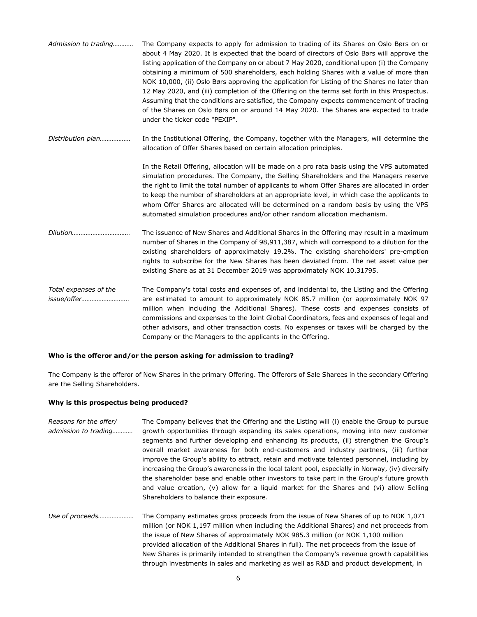| Admission to trading                 | The Company expects to apply for admission to trading of its Shares on Oslo Børs on or<br>about 4 May 2020. It is expected that the board of directors of Oslo Børs will approve the<br>listing application of the Company on or about 7 May 2020, conditional upon (i) the Company<br>obtaining a minimum of 500 shareholders, each holding Shares with a value of more than<br>NOK 10,000, (ii) Oslo Børs approving the application for Listing of the Shares no later than<br>12 May 2020, and (iii) completion of the Offering on the terms set forth in this Prospectus.<br>Assuming that the conditions are satisfied, the Company expects commencement of trading<br>of the Shares on Oslo Børs on or around 14 May 2020. The Shares are expected to trade<br>under the ticker code "PEXIP". |
|--------------------------------------|-----------------------------------------------------------------------------------------------------------------------------------------------------------------------------------------------------------------------------------------------------------------------------------------------------------------------------------------------------------------------------------------------------------------------------------------------------------------------------------------------------------------------------------------------------------------------------------------------------------------------------------------------------------------------------------------------------------------------------------------------------------------------------------------------------|
| Distribution plan                    | In the Institutional Offering, the Company, together with the Managers, will determine the<br>allocation of Offer Shares based on certain allocation principles.                                                                                                                                                                                                                                                                                                                                                                                                                                                                                                                                                                                                                                    |
|                                      | In the Retail Offering, allocation will be made on a pro rata basis using the VPS automated<br>simulation procedures. The Company, the Selling Shareholders and the Managers reserve<br>the right to limit the total number of applicants to whom Offer Shares are allocated in order<br>to keep the number of shareholders at an appropriate level, in which case the applicants to<br>whom Offer Shares are allocated will be determined on a random basis by using the VPS<br>automated simulation procedures and/or other random allocation mechanism.                                                                                                                                                                                                                                          |
| <i>Dilution</i>                      | The issuance of New Shares and Additional Shares in the Offering may result in a maximum<br>number of Shares in the Company of 98,911,387, which will correspond to a dilution for the<br>existing shareholders of approximately 19.2%. The existing shareholders' pre-emption<br>rights to subscribe for the New Shares has been deviated from. The net asset value per<br>existing Share as at 31 December 2019 was approximately NOK 10.31795.                                                                                                                                                                                                                                                                                                                                                   |
| Total expenses of the<br>issue/offer | The Company's total costs and expenses of, and incidental to, the Listing and the Offering<br>are estimated to amount to approximately NOK 85.7 million (or approximately NOK 97<br>million when including the Additional Shares). These costs and expenses consists of<br>commissions and expenses to the Joint Global Coordinators, fees and expenses of legal and<br>other advisors, and other transaction costs. No expenses or taxes will be charged by the                                                                                                                                                                                                                                                                                                                                    |

#### **Who is the offeror and/or the person asking for admission to trading?**

The Company is the offeror of New Shares in the primary Offering. The Offerors of Sale Sharees in the secondary Offering are the Selling Shareholders.

Company or the Managers to the applicants in the Offering.

#### **Why is this prospectus being produced?**

*Reasons for the offer/ admission to trading…………* The Company believes that the Offering and the Listing will (i) enable the Group to pursue growth opportunities through expanding its sales operations, moving into new customer segments and further developing and enhancing its products, (ii) strengthen the Group's overall market awareness for both end-customers and industry partners, (iii) further improve the Group's ability to attract, retain and motivate talented personnel, including by increasing the Group's awareness in the local talent pool, especially in Norway, (iv) diversify the shareholder base and enable other investors to take part in the Group's future growth and value creation, (v) allow for a liquid market for the Shares and (vi) allow Selling Shareholders to balance their exposure. *Use of proceeds…………………* The Company estimates gross proceeds from the issue of New Shares of up to NOK 1,071 million (or NOK 1,197 million when including the Additional Shares) and net proceeds from the issue of New Shares of approximately NOK 985.3 million (or NOK 1,100 million provided allocation of the Additional Shares in full). The net proceeds from the issue of New Shares is primarily intended to strengthen the Company's revenue growth capabilities

through investments in sales and marketing as well as R&D and product development, in